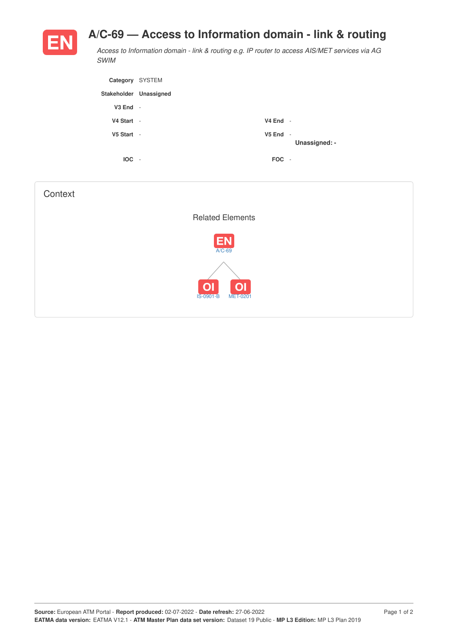## **A/C-69 — Access to Information domain - link & routing**



*Access to Information domain - link & routing e.g. IP router to access AIS/MET services via AG SWIM*

| Category SYSTEM        |                          |              |               |
|------------------------|--------------------------|--------------|---------------|
| Stakeholder Unassigned |                          |              |               |
| $V3$ End $-$           |                          |              |               |
| V4 Start -             |                          | $V4$ End -   |               |
| V5 Start -             |                          | $V5$ End $-$ | Unassigned: - |
| <b>IOC</b>             | $\overline{\phantom{a}}$ | FOC -        |               |

| Context |                                                              |  |
|---------|--------------------------------------------------------------|--|
|         | <b>Related Elements</b>                                      |  |
|         | <b>EN</b><br>A/C-69                                          |  |
|         | O <sub>1</sub><br> O <br><b>IS-0901-B</b><br><b>MET-0201</b> |  |